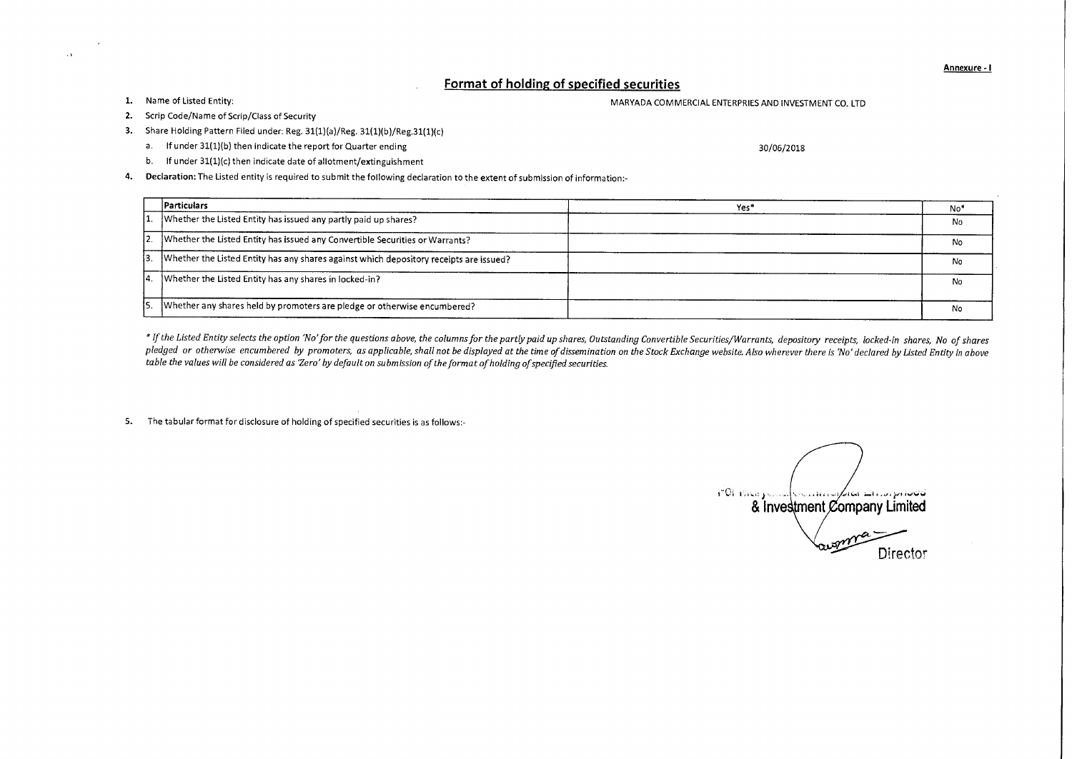Annexure - I

## **Format of holding of specified securities**

 $\mathcal{L}V$ 

## 1. Name of Listed Entity: The Entity: MARYADA COMMERCIAL ENTERPRIES AND INVESTMENT CO. LTD

- 2. Scrip Code/Name of Scrip/Class of Security
- 3. Share Holding Pattern Filed under: Reg. 31(1)(a)/Reg. 31(1)(b)/Reg.31(1)(c)
	- a. If under 31(1)(b) then indicate the report for Quarter ending 30/06/2018
	- b. If under 31(1)(c) then indicate date of allotment/extinguishment
- 4. Declaration: The Listed entity is required to submit the following declaration to the extent of submission of information:-

|    | Particulars                                                                            | Yes* | No* |
|----|----------------------------------------------------------------------------------------|------|-----|
|    | Whether the Listed Entity has issued any partly paid up shares?                        |      | No  |
|    | Whether the Listed Entity has issued any Convertible Securities or Warrants?           |      | N٥  |
| l3 | Whether the Listed Entity has any shares against which depository receipts are issued? |      | No  |
| 14 | Whether the Listed Entity has any shares in locked-in?                                 |      | No  |
| IS | Whether any shares held by promoters are pledge or otherwise encumbered?               |      | No  |

*\* If the Listed Entity selects the option 'No' for the questions above, the columns for the partly paid up shares, Outstanding Convertible Securities/Warrants, depository receipts, locked-in shares, No of shares pledged or otherwise encumbered by promoters, as applicable, shall not be displayed at the time of dissemination on the Stock Exchange website. Also wherever there is 'No' declared by Listed Entity in above table the values will be considered as 'Zero' by default on submission of the format of holding of specified securities.* 

5. The tabular format for disclosure of holding of specified securities is as follows:-

POP PASA FOUND & Investment Company Limited Director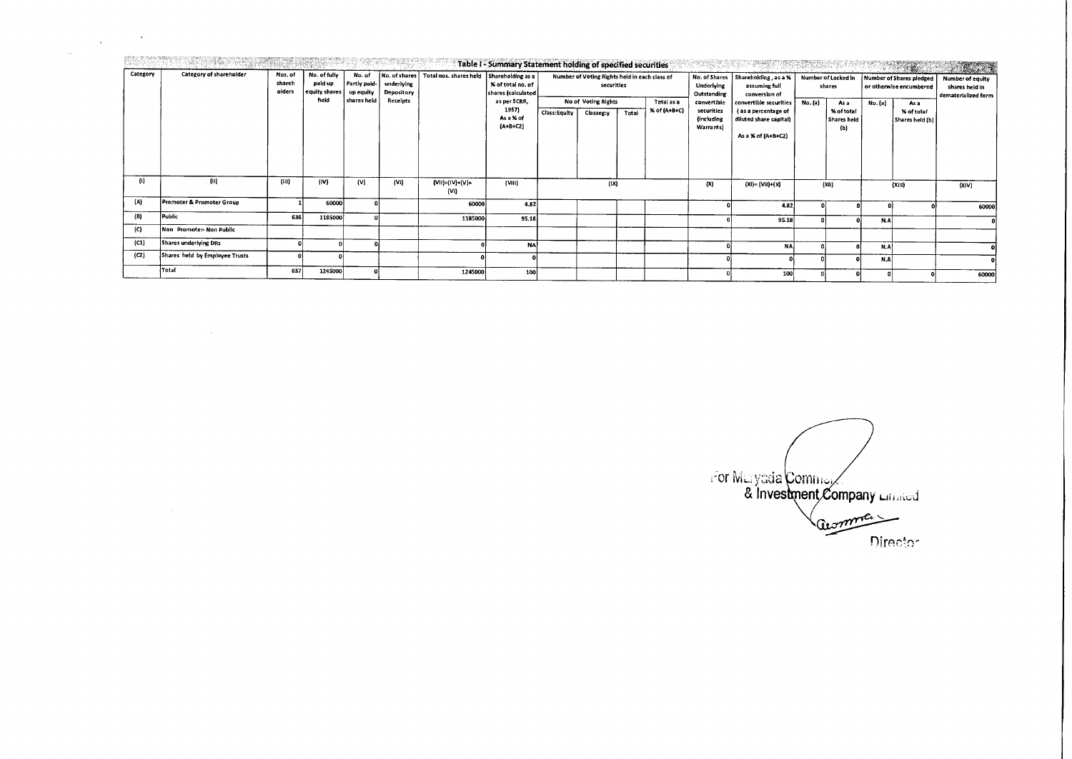| Category | Category of shareholder        | Nos. of<br>shareh<br>olders | No. of fully<br>paid up<br>equity shares<br>held | No. of<br>Partly paid-<br>up equity | underlying<br>Depository<br>Receipts | No. of shares   Total nos. shares held   Shareholding as a | Table I - Summary Statement holding of specified securities<br>% of total no. of<br>$ $ shares (calculated $ $<br>as per SCRR,<br>1957)<br>As a % of<br>$(A+B+C2)$ |              | Number of Voting Rights held in each class of<br>securities |       |                            | No. of Shares<br>Underlying<br>Outstanding           | 1. 나라의 대통령<br>Shareholding, as a %<br>assuming full<br>conversion of<br>convertible securities<br>(as a percentage of<br>diluted share capital)<br>As a % of (A+B+C2) | SHASHARROOTA<br>Number of Locked in<br>shares |                                                 |         | <b>Number of Shares piedged</b><br>or otherwise encumbered | <b>MAGES</b><br>Number of equity<br>shares held in<br>dematerialized form |
|----------|--------------------------------|-----------------------------|--------------------------------------------------|-------------------------------------|--------------------------------------|------------------------------------------------------------|--------------------------------------------------------------------------------------------------------------------------------------------------------------------|--------------|-------------------------------------------------------------|-------|----------------------------|------------------------------------------------------|-----------------------------------------------------------------------------------------------------------------------------------------------------------------------|-----------------------------------------------|-------------------------------------------------|---------|------------------------------------------------------------|---------------------------------------------------------------------------|
|          |                                |                             |                                                  | shares held                         |                                      |                                                            |                                                                                                                                                                    | Class:Equity | No of Voting Rights<br>Classeg:y                            | Total | Total as a<br>% of (A+B+C) | convertible<br>securities<br>lincluding<br>Warrants) |                                                                                                                                                                       | No. (a)                                       | As a<br>% of total<br><b>Shares held</b><br>(b) | No. (a) | As a<br>X of total<br>Shares held (b)                      |                                                                           |
| -61      | (ii)                           | (III)                       | (IV)                                             | (v)                                 | (VI)                                 | $(VII)=(IV)+(V)+$<br>(VI)                                  | (VHI)                                                                                                                                                              |              | (1x)                                                        |       |                            | (X)                                                  | (XI)= (VII)+(X)                                                                                                                                                       |                                               | (XII)                                           |         | (X  )                                                      | (XIV)                                                                     |
| (A)      | Promoter & Promoter Group      |                             | 60000                                            |                                     |                                      | 60000                                                      | 4.82                                                                                                                                                               |              |                                                             |       |                            |                                                      | 4.82                                                                                                                                                                  |                                               |                                                 |         |                                                            | 60000                                                                     |
| (B)      | Public                         | 636                         | 1185000                                          |                                     |                                      | 1185000                                                    | 95.18                                                                                                                                                              |              |                                                             |       |                            |                                                      | 95.18                                                                                                                                                                 |                                               |                                                 | N.A     |                                                            |                                                                           |
| (C)      | Non Promoter-Non Public        |                             |                                                  |                                     |                                      |                                                            |                                                                                                                                                                    |              |                                                             |       |                            |                                                      |                                                                                                                                                                       |                                               |                                                 |         |                                                            |                                                                           |
| (C1)     | Shares underlying DRs          |                             |                                                  |                                     |                                      |                                                            | <b>NA</b>                                                                                                                                                          |              |                                                             |       |                            |                                                      | NA.                                                                                                                                                                   |                                               |                                                 | N.A     |                                                            |                                                                           |
| (C2)     | Shares held by Employee Trusts |                             |                                                  |                                     |                                      |                                                            |                                                                                                                                                                    |              |                                                             |       |                            |                                                      |                                                                                                                                                                       |                                               |                                                 | N.A     |                                                            |                                                                           |
|          | Total                          | 637                         | 1245000                                          |                                     |                                      | 1245000                                                    | 100                                                                                                                                                                |              |                                                             |       |                            |                                                      | <b>100</b>                                                                                                                                                            |                                               |                                                 |         |                                                            | 60000                                                                     |

 $\label{eq:2.1} \frac{1}{\sqrt{2\pi}}\int_{0}^{\infty}\frac{1}{\sqrt{2\pi}}\left(\frac{1}{\sqrt{2\pi}}\right)^{2\sqrt{2}}\frac{1}{\sqrt{2\pi}}\int_{0}^{\infty}\frac{1}{\sqrt{2\pi}}\left(\frac{1}{\sqrt{2\pi}}\right)^{2\sqrt{2}}\frac{1}{\sqrt{2\pi}}\int_{0}^{\infty}\frac{1}{\sqrt{2\pi}}\frac{1}{\sqrt{2\pi}}\frac{1}{\sqrt{2\pi}}\frac{1}{\sqrt{2\pi}}\frac{1}{\sqrt{2\pi}}\frac{1}{\sqrt{2\pi}}\frac{1$ 

Ù,

For Maryada Commer / acomme Director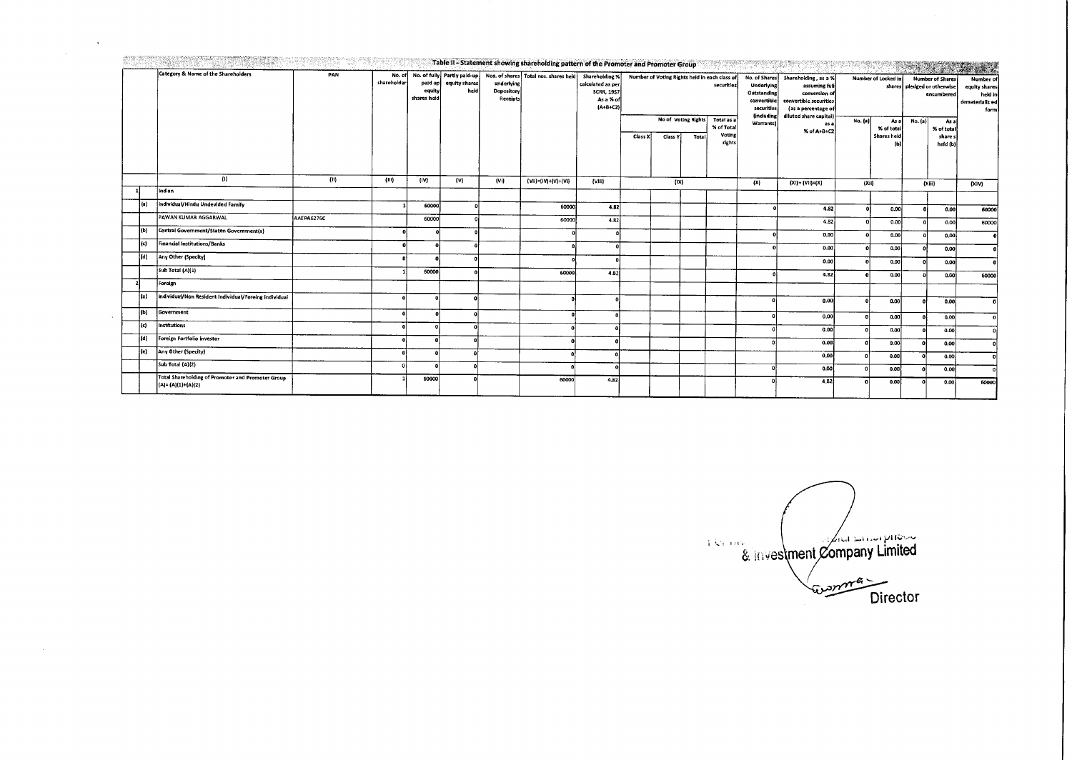|     |                                                          |            |                       |                                  |                       |                                      | Table II - Statement showing shareholding pattern of the Promoter and Promoter Group |                                                                                     |         |                     |              |                                                                           |                                                                                                           |                                                                                                                                   |                 |                                 |                                                                                         |                                   | W A                                                              |
|-----|----------------------------------------------------------|------------|-----------------------|----------------------------------|-----------------------|--------------------------------------|--------------------------------------------------------------------------------------|-------------------------------------------------------------------------------------|---------|---------------------|--------------|---------------------------------------------------------------------------|-----------------------------------------------------------------------------------------------------------|-----------------------------------------------------------------------------------------------------------------------------------|-----------------|---------------------------------|-----------------------------------------------------------------------------------------|-----------------------------------|------------------------------------------------------------------|
|     | Category & Name of the Shareholders<br>(1)               | PAN        | No. of<br>shareholder | paid up<br>equity<br>shares heid | equity shares<br>heid | underlying<br>Depository<br>Receipts | No. of fully Partly paid-up Nos. of shares Total nos. shares held                    | Shareholding %<br>calculated as per<br><b>SCRR, 1957</b><br>As a % of<br>$[A+B+C2]$ |         | No of Voting Rights |              | Number of Voting Rights held in each class of<br>securities<br>Total as a | No. of Shares<br>Underlying<br>Outstanding<br>convertible<br>securities<br><i>lincluding</i><br>Warrants) | Shareholding, as a %<br>assuming full<br>conversion of<br>convertible securities<br>(as a percentage of<br>diluted share capital) | No. (a)<br>as a | Number of Locked in<br>Asal     | <b>Number of Shares</b><br>shares pledged or otherwise<br>encumbered<br>No. (a)<br>As a |                                   | Number of<br>equity shares<br>held in<br>dematerializ ed<br>form |
|     |                                                          |            |                       |                                  |                       |                                      |                                                                                      |                                                                                     | Class X | Class Y             | <b>Total</b> | % of Total<br>Voting<br>rights                                            |                                                                                                           | % of A+B+C2                                                                                                                       |                 | % of total<br>Shares held<br>ſЫ |                                                                                         | % of total<br>share s<br>held (b) |                                                                  |
|     | Indian                                                   | (11)       | (III)                 | (IV)                             | (w)                   | (VI)                                 | $(Vii)=(iv)+(V)+(Vi)$                                                                | $($ VHI)                                                                            |         | (X)                 |              | (X)                                                                       |                                                                                                           | $(XI) = (VII)+(X)$                                                                                                                |                 | (X)                             |                                                                                         | (Xiii)                            | (XiV)                                                            |
|     |                                                          |            |                       |                                  |                       |                                      |                                                                                      |                                                                                     |         |                     |              |                                                                           |                                                                                                           |                                                                                                                                   |                 |                                 |                                                                                         |                                   |                                                                  |
| (a) | individual/Hindu Undevided Family                        |            |                       | 60000                            |                       |                                      | 60000                                                                                | 4.82                                                                                |         |                     |              |                                                                           |                                                                                                           | 4.82                                                                                                                              |                 | 0.001                           |                                                                                         | 0.00                              | 60000                                                            |
|     | PAWAN KUMAR AGGARWAL                                     | AAEPA6276C |                       | 60000                            |                       |                                      | 60000                                                                                | 4,82                                                                                |         |                     |              |                                                                           |                                                                                                           | 4.82                                                                                                                              |                 | 0.00                            |                                                                                         | 0.00                              | 60000                                                            |
| (b) | Central Government/Staten Government(s)                  |            |                       |                                  |                       |                                      |                                                                                      |                                                                                     |         |                     |              |                                                                           |                                                                                                           | 0.00                                                                                                                              |                 | 0.00                            |                                                                                         | 0.00                              |                                                                  |
| (c) | <b>Financial Institutions/Banks</b>                      |            | n                     |                                  |                       |                                      |                                                                                      |                                                                                     |         |                     |              |                                                                           |                                                                                                           | 0.00                                                                                                                              |                 | 0,00                            |                                                                                         | o.col                             |                                                                  |
| (d) | Any Other (Specity)                                      |            |                       |                                  |                       |                                      |                                                                                      |                                                                                     |         |                     |              |                                                                           |                                                                                                           | 0.00                                                                                                                              |                 | 0,00                            | -ni                                                                                     | 0.00                              |                                                                  |
|     | Sub Total (A)(1)                                         |            |                       | 60000                            |                       |                                      | scoool                                                                               | 4.82                                                                                |         |                     |              |                                                                           |                                                                                                           | 4.82 I                                                                                                                            |                 | 0.00                            | $\mathbf{r}$                                                                            | 0.00                              | 60000                                                            |
|     | Foreign                                                  |            |                       |                                  |                       |                                      |                                                                                      |                                                                                     |         |                     |              |                                                                           |                                                                                                           |                                                                                                                                   |                 |                                 |                                                                                         |                                   |                                                                  |
| (a) | individual/Non Resident Individual/Foreing individual    |            |                       |                                  |                       |                                      |                                                                                      | $\sqrt{2}$                                                                          |         |                     |              |                                                                           | O.                                                                                                        | 0.00                                                                                                                              |                 | 0.00                            |                                                                                         | 0.00                              |                                                                  |
| (b) | Government                                               |            |                       |                                  |                       |                                      |                                                                                      |                                                                                     |         |                     |              |                                                                           |                                                                                                           | 0,00                                                                                                                              |                 | 0.00                            |                                                                                         | 0.00                              |                                                                  |
| (c) | Institutions                                             |            |                       |                                  |                       |                                      |                                                                                      |                                                                                     |         |                     |              |                                                                           |                                                                                                           | 0.00                                                                                                                              |                 | 0.00                            |                                                                                         | 0.00                              |                                                                  |
| (d) | Foreign Portfolio investor                               |            |                       |                                  |                       |                                      |                                                                                      |                                                                                     |         |                     |              |                                                                           |                                                                                                           | 0.00                                                                                                                              |                 | 0.00                            |                                                                                         | o.ool                             |                                                                  |
| (e) | Any Other (Specity)                                      |            |                       |                                  |                       |                                      |                                                                                      |                                                                                     |         |                     |              |                                                                           |                                                                                                           | 0.00                                                                                                                              |                 | 0.00                            |                                                                                         | 0.00                              |                                                                  |
|     | Sub Total (A)(2)                                         |            |                       |                                  |                       |                                      |                                                                                      |                                                                                     |         |                     |              |                                                                           |                                                                                                           | 0.00                                                                                                                              |                 | 0.00                            | ΩI                                                                                      | 0.00                              |                                                                  |
|     | <b>Total Shareholding of Promoter and Promoter Group</b> |            |                       | 60000                            |                       |                                      | 60000                                                                                | 4.821                                                                               |         |                     |              |                                                                           |                                                                                                           | 4,82                                                                                                                              |                 | 0.00                            |                                                                                         | 0.00                              | 60000                                                            |
|     | (A)= (A)(1)+(A)(2)                                       |            |                       |                                  |                       |                                      |                                                                                      |                                                                                     |         |                     |              |                                                                           |                                                                                                           |                                                                                                                                   |                 |                                 |                                                                                         |                                   |                                                                  |

 $\ddot{\phantom{a}}$ 

 $\cdot$ 

 $\mathcal{L}^{\mathcal{L}}$ 

.<br>CALLING THAT Changes for production from the Application program technology and

ompany Limited **Director**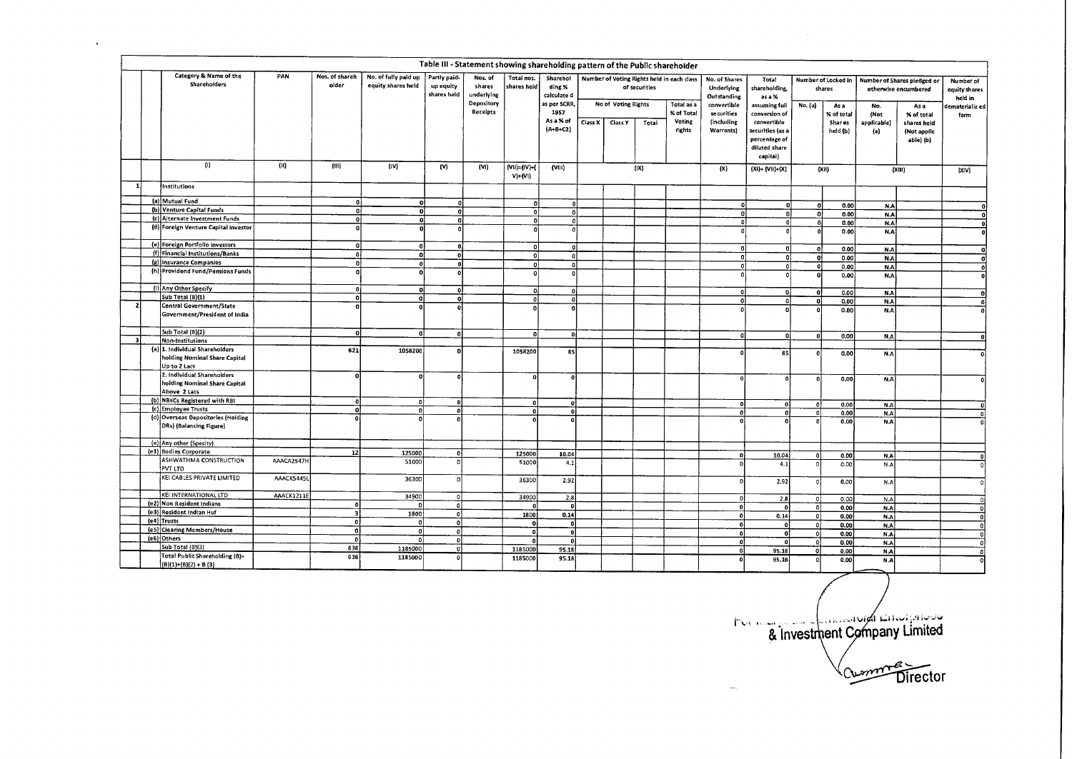|              | Table III - Statement showing shareholding pattern of the Public shareholder<br>Category & Name of the<br>PAN<br>Nos. of shareh<br>No. of fully paid up<br>Partly paid-<br>Nos. of<br>Total nos.<br>Sharehol<br>Number of Voting Rights held in each class<br>Number of Shares pledged or |                                                                                 |            |                   |                      |                          |                                    |                                  |                                      |         |                     |               |                                |                                                      |                                                                                                     |                                                  |                                   |                                   |                                                              |                                       |
|--------------|-------------------------------------------------------------------------------------------------------------------------------------------------------------------------------------------------------------------------------------------------------------------------------------------|---------------------------------------------------------------------------------|------------|-------------------|----------------------|--------------------------|------------------------------------|----------------------------------|--------------------------------------|---------|---------------------|---------------|--------------------------------|------------------------------------------------------|-----------------------------------------------------------------------------------------------------|--------------------------------------------------|-----------------------------------|-----------------------------------|--------------------------------------------------------------|---------------------------------------|
|              |                                                                                                                                                                                                                                                                                           | Shareholders                                                                    |            | older             | equity shares held   | up equity<br>shares held | shares<br>underlying<br>Depository | shares held                      | ding %<br>calculate d<br>as per SCRR |         | No of Voting Rights | of securities | Total as a                     | No. of Shares<br>Underlying<br>Outstanding           | Total<br>shareholding,<br>as a %                                                                    | Number of Locked in<br>shares<br>No. (a)<br>As a |                                   |                                   | otherwise encumbered                                         | Number of<br>equity shares<br>held in |
|              |                                                                                                                                                                                                                                                                                           |                                                                                 |            |                   |                      |                          | Receipts                           |                                  | 1957<br>As a % of<br>$(A+B+C2)$      | Class X | Ciass Y             | Total         | % of Total<br>Voting<br>rights | convertible<br>securities<br>(including<br>Warrants) | assuming full<br>conversion of<br>convertible<br>securities (as a<br>percentage of<br>diluted share |                                                  | % of total<br>Shar es<br>held (b) | No.<br>(Not<br>applicabie)<br>(a) | Asa<br>% of total<br>shares held<br>(Not applic<br>abie) (b) | iematerializ ed <br>form              |
|              |                                                                                                                                                                                                                                                                                           | $\mathbf{0}$                                                                    |            |                   |                      |                          |                                    |                                  |                                      |         |                     |               |                                |                                                      | capitai)                                                                                            |                                                  |                                   |                                   |                                                              |                                       |
| 1            |                                                                                                                                                                                                                                                                                           |                                                                                 | (ii)       | (111)             | (w)                  | (V)                      | (Vi)                               | $(Vii) = (IV) + ($<br>$V$ )+(Vi) | (VIII)                               |         |                     | ( X )         |                                | (X)                                                  | $(XI) = (VII)+(X)$                                                                                  |                                                  | (XH)                              |                                   | (XIII)                                                       | (X V)                                 |
|              |                                                                                                                                                                                                                                                                                           | <b>Institutions</b>                                                             |            |                   |                      |                          |                                    |                                  |                                      |         |                     |               |                                |                                                      |                                                                                                     |                                                  |                                   |                                   |                                                              |                                       |
|              |                                                                                                                                                                                                                                                                                           | (a) Mutual Fund                                                                 |            | ٥ł                | 0                    | $\Omega$                 |                                    | o                                | $\mathbf{0}$                         |         |                     |               |                                |                                                      | $\mathbf{0}$                                                                                        | -ol                                              | 0.00                              | N.A                               |                                                              | $\mathbf{r}$                          |
|              |                                                                                                                                                                                                                                                                                           | (b) Venture Capital Funds                                                       |            | oj                | οł                   | ٥l                       |                                    | $\mathbf{a}$                     | 'n                                   |         |                     |               |                                | n                                                    | ol                                                                                                  | ol                                               | 0.00                              | <b>NA</b>                         |                                                              | $\mathbf{a}$                          |
|              |                                                                                                                                                                                                                                                                                           | (c) Alternate Investment Funds<br>(d) Foreign Venture Capital investor          |            | 히<br>$\mathbf{0}$ | ol                   | $\mathbf{0}$             |                                    | $\mathbf{0}$                     | $\mathbf{o}$                         |         |                     |               |                                | ٥l                                                   | $\mathbf{o}$                                                                                        | o                                                | 0.00                              | N.A                               |                                                              | -ol                                   |
|              |                                                                                                                                                                                                                                                                                           |                                                                                 |            |                   |                      |                          |                                    |                                  | $\theta$                             |         |                     |               |                                | $\Omega$                                             | $\mathbf{0}$                                                                                        | $\mathbf{o}$                                     | 0.00                              | N.A                               |                                                              | ۵I                                    |
|              |                                                                                                                                                                                                                                                                                           | (e) Foreign Portfolio Investors                                                 |            | οl                | $\mathbf{a}$         |                          |                                    |                                  | $\mathbf{0}$                         |         |                     |               |                                | $\mathbf{0}$                                         | o                                                                                                   | $\Omega$                                         | 0.00                              | N.A                               |                                                              |                                       |
|              |                                                                                                                                                                                                                                                                                           | (f) Financial Institutions/Banks                                                |            | ᅁ                 | ΩÌ                   | $\Omega$                 |                                    | 0                                | -o l                                 |         |                     |               |                                | $\mathbf{0}$                                         | $\mathbf{0}$                                                                                        | ol                                               | 0.00                              | N.A                               |                                                              |                                       |
|              |                                                                                                                                                                                                                                                                                           | (g) Insurance Companies                                                         |            | -ol               | $\mathfrak{a}$       |                          |                                    | ol                               | $\Omega$                             |         |                     |               |                                | $\Omega$                                             | ٥l                                                                                                  | - o j                                            | 0.00                              | N.A                               |                                                              |                                       |
|              |                                                                                                                                                                                                                                                                                           | (h) Providend Fund/Pensions Funds                                               |            | 0                 | $\Omega$             |                          |                                    | n.                               | $\theta$                             |         |                     |               |                                |                                                      | <b>O</b>                                                                                            | $\Omega$                                         | 0.00                              | N.A                               |                                                              |                                       |
|              |                                                                                                                                                                                                                                                                                           | (i) Any Other Specify                                                           |            | ٥l                | $\Omega$             | $\Omega$                 |                                    | ol                               | -o1                                  |         |                     |               |                                |                                                      | $\Omega$                                                                                            |                                                  |                                   |                                   |                                                              |                                       |
|              |                                                                                                                                                                                                                                                                                           | Sub Totai (B)(1)                                                                |            | $\overline{0}$    | n                    | n.                       |                                    | $\mathbf{a}$                     | 0.                                   |         |                     |               |                                | $\Omega$<br>$\Omega$                                 | ٥I                                                                                                  | -ol<br>o                                         | 0.00<br>0.00                      | N.A                               |                                                              |                                       |
|              |                                                                                                                                                                                                                                                                                           | Central Government/State                                                        |            | οl                |                      |                          |                                    | $\Omega$                         | $\Omega$                             |         |                     |               |                                |                                                      |                                                                                                     | $\mathbf{a}$                                     | 0.00                              | N.A<br>N.A                        |                                                              |                                       |
|              |                                                                                                                                                                                                                                                                                           | Government/President of India                                                   |            |                   |                      |                          |                                    |                                  |                                      |         |                     |               |                                |                                                      |                                                                                                     |                                                  |                                   |                                   |                                                              |                                       |
|              |                                                                                                                                                                                                                                                                                           | Sub Total (B)(2)                                                                |            | -ol               | ΩI                   | $\mathbf{0}$             |                                    | ol                               | $\mathbf{0}$                         |         |                     |               |                                | $\Omega$                                             | ol                                                                                                  | $\mathbf{0}$                                     | 0.00                              |                                   |                                                              |                                       |
| $\mathbf{B}$ |                                                                                                                                                                                                                                                                                           | Non-Institutions                                                                |            |                   |                      |                          |                                    |                                  |                                      |         |                     |               |                                |                                                      |                                                                                                     |                                                  |                                   | N.A                               |                                                              |                                       |
|              |                                                                                                                                                                                                                                                                                           | (a) 1. Individual Shareholders<br>holding Nominal Share Capital<br>Up to 2 Lacs |            | 621               | 1058200              |                          |                                    | 1058200                          | 85                                   |         |                     |               |                                |                                                      | 85                                                                                                  |                                                  | 0.00                              | N.A                               |                                                              |                                       |
|              |                                                                                                                                                                                                                                                                                           | 2. Individual Shareholders<br>holding Nominal Share Capital<br>Above 2 Lacs     |            | $\mathbf{0}$      |                      |                          |                                    | $\Omega$                         |                                      |         |                     |               |                                | $\mathbf{0}$                                         | $\mathbf{a}$                                                                                        |                                                  | 0.00                              | N.A                               |                                                              |                                       |
|              |                                                                                                                                                                                                                                                                                           | (b) NBFCs Registered with RBI                                                   |            | ٥l                | $\mathbf{0}$         | O                        |                                    | $\Omega$                         | 0                                    |         |                     |               |                                | $\mathbf{0}$                                         | $\mathbf{a}$                                                                                        | -ol                                              | 0.00                              | N.A                               |                                                              |                                       |
|              |                                                                                                                                                                                                                                                                                           | (c) Employee Trusts                                                             |            | ٥ł                | o                    |                          |                                    | $\mathbf{a}$                     | ol                                   |         |                     |               |                                | $\Omega$                                             |                                                                                                     | $\mathbf{0}$                                     | 0.00                              | N.A                               |                                                              |                                       |
|              |                                                                                                                                                                                                                                                                                           | (d) Overseas Depositories (Holding<br>DRs) (Balancing Figure)                   |            | ۰ı                |                      |                          |                                    |                                  | 0                                    |         |                     |               |                                | $\Omega$                                             |                                                                                                     |                                                  | 0.00                              | N.A                               |                                                              |                                       |
|              |                                                                                                                                                                                                                                                                                           | (e) Any other (Specity)                                                         |            |                   |                      |                          |                                    |                                  |                                      |         |                     |               |                                |                                                      |                                                                                                     |                                                  |                                   |                                   |                                                              |                                       |
|              |                                                                                                                                                                                                                                                                                           | (e1) Bodies Corporate<br>ASHWATHMA CONSTRUCTION                                 | AAACA2547H | 12                | 125000               | 0                        |                                    | 125000                           | 10.04                                |         |                     |               |                                | D.                                                   | 10.04                                                                                               | 0                                                | 0.00                              | N.A                               |                                                              |                                       |
|              |                                                                                                                                                                                                                                                                                           | PVT LTD                                                                         |            |                   | 51000                | o                        |                                    | 51000                            | 4.1                                  |         |                     |               |                                |                                                      | 4.1                                                                                                 | $\Omega$                                         | 0.00                              | N.A                               |                                                              |                                       |
|              |                                                                                                                                                                                                                                                                                           | KEI CABLES PRIVATE LIMITED                                                      | AAACK5445L |                   | 3630D                | D                        |                                    | 36300                            | 2.92                                 |         |                     |               |                                |                                                      | 2.92                                                                                                | $\Omega$                                         | 0.00                              | N.A                               |                                                              |                                       |
|              |                                                                                                                                                                                                                                                                                           | KEI INTERNATIONAL LTD                                                           | AAACK1211E |                   | 34900                | 0                        |                                    | 34900                            | 2.8                                  |         |                     |               |                                | $\Omega$                                             | 2.8                                                                                                 | 0                                                | 0.00                              | N.A                               |                                                              |                                       |
|              |                                                                                                                                                                                                                                                                                           | (e2) Non Resident Indians<br>(e3) Resident Indian Huf                           |            | $\Omega$          | $\mathbf{a}$         | $\mathfrak{o}$           |                                    | o                                |                                      |         |                     |               |                                | $\mathbf{o}$                                         | οl                                                                                                  | $\overline{0}$                                   | 0.00                              | N.A                               |                                                              |                                       |
|              |                                                                                                                                                                                                                                                                                           | (e4) Trusts                                                                     |            | 31<br>-o l        | 1800<br><sub>0</sub> | $\mathbf{0}$<br>o        |                                    | 1800                             | 0.14                                 |         |                     |               |                                | $\mathbf{o}$                                         | 0.14                                                                                                | $\circ$                                          | 0.00                              | N.A                               |                                                              |                                       |
|              |                                                                                                                                                                                                                                                                                           | (e5) Clearing Members/House                                                     |            | ٥l                | 0                    | $\mathbf{Q}$             |                                    | $\mathbf{0}$<br>$\Omega$         | -ol                                  |         |                     |               |                                | -ol                                                  | ۵I                                                                                                  | -ol                                              | 0.00                              | N.A                               |                                                              |                                       |
|              |                                                                                                                                                                                                                                                                                           | (e6) Others                                                                     |            | ol                | $\mathbf{a}$         | $\mathbf{0}$             |                                    |                                  | -ol<br>ß                             |         |                     |               |                                | ٥l                                                   | οl                                                                                                  | $\mathbf{0}$                                     | 0.00                              | N.A                               |                                                              |                                       |
|              |                                                                                                                                                                                                                                                                                           | Sub Total (B)(3)                                                                |            | 636               | 1185000              | $\Omega$                 |                                    | 1185000                          | 95.18                                |         |                     |               |                                | $\mathbf{0}$<br>$\mathbf{0}$                         | $\mathbf{0}$<br>95.18                                                                               | $\Omega$<br>0                                    | 0.00<br>0.00                      | N.A<br>N.A                        |                                                              |                                       |
|              |                                                                                                                                                                                                                                                                                           | Total Public Shareholding (8)=                                                  |            | 636               | 1185000              |                          |                                    | 1185000                          | 95.18                                |         |                     |               |                                | $\Omega$                                             | 95.18                                                                                               |                                                  | 0,00                              | N.A                               |                                                              |                                       |
|              |                                                                                                                                                                                                                                                                                           | $(B)(1)+(B)(2)+B(3)$                                                            |            |                   |                      |                          |                                    |                                  |                                      |         |                     |               |                                |                                                      |                                                                                                     |                                                  |                                   |                                   |                                                              |                                       |

 $\epsilon$ 

I L:.4 & Investment Company Limited

Cumment Director